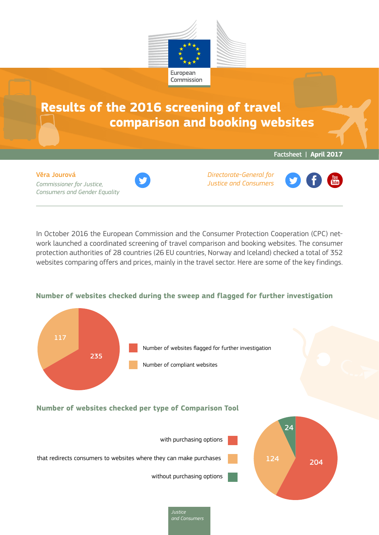

## **Results of the 2016 screening of travel comparison and booking websites**

Factsheet | **April 2017**

Vĕra Jourová *Commissioner for Justice, Consumers and Gender Equality*



*Directorate-General for Justice and Consumers*



In October 2016 the European Commission and the Consumer Protection Cooperation (CPC) network launched a coordinated screening of travel comparison and booking websites. The consumer protection authorities of 28 countries (26 EU countries, Norway and Iceland) checked a total of 352 websites comparing offers and prices, mainly in the travel sector. Here are some of the key findings.



## **Number of websites checked during the sweep and flagged for further investigation**

*and Consumers*

*Justice*